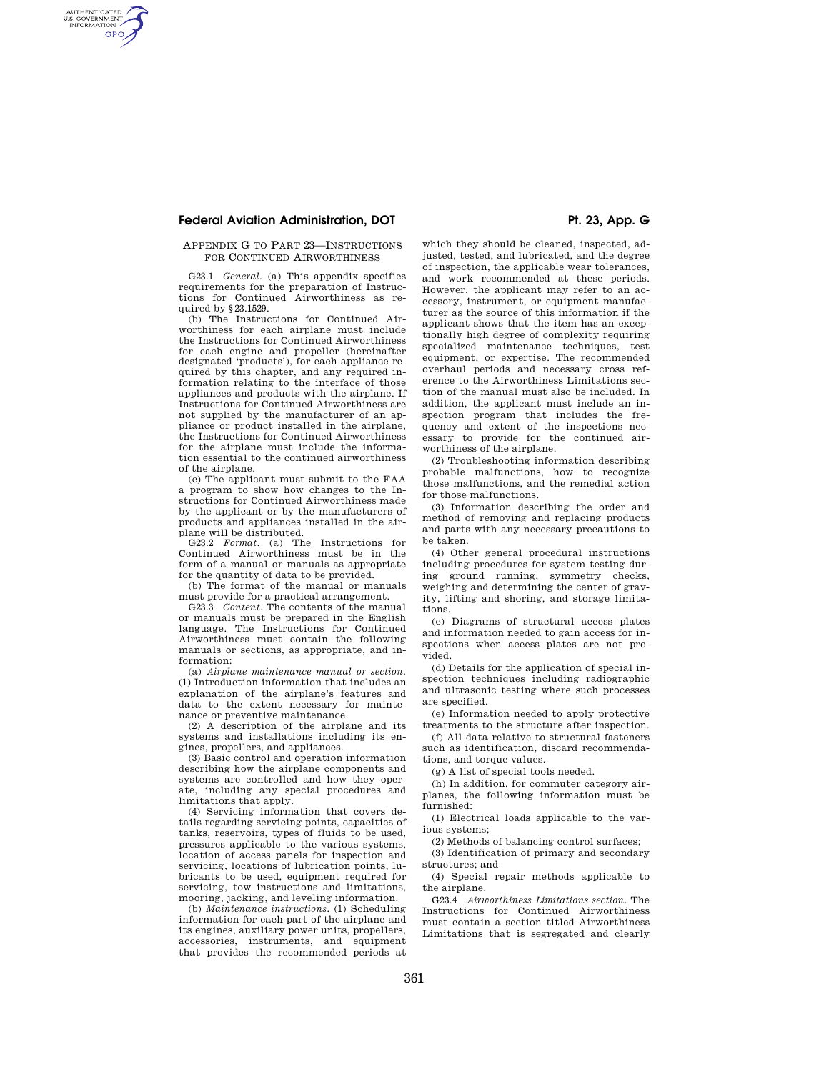# **Federal Aviation Administration, DOT Pt. 23, App. G**

AUTHENTICATED<br>U.S. GOVERNMENT<br>INFORMATION **GPO** 

### APPENDIX G TO PART 23—INSTRUCTIONS FOR CONTINUED AIRWORTHINESS

G23.1 *General.* (a) This appendix specifies requirements for the preparation of Instructions for Continued Airworthiness as required by §23.1529.

(b) The Instructions for Continued Airworthiness for each airplane must include the Instructions for Continued Airworthiness for each engine and propeller (hereinafter designated 'products'), for each appliance required by this chapter, and any required information relating to the interface of those appliances and products with the airplane. If Instructions for Continued Airworthiness are not supplied by the manufacturer of an appliance or product installed in the airplane, the Instructions for Continued Airworthiness for the airplane must include the information essential to the continued airworthiness of the airplane.

(c) The applicant must submit to the FAA a program to show how changes to the Instructions for Continued Airworthiness made by the applicant or by the manufacturers of products and appliances installed in the airplane will be distributed.

G23.2 *Format.* (a) The Instructions for Continued Airworthiness must be in the form of a manual or manuals as appropriate for the quantity of data to be provided.

(b) The format of the manual or manuals must provide for a practical arrangement.

G23.3 *Content.* The contents of the manual or manuals must be prepared in the English language. The Instructions for Continued Airworthiness must contain the following manuals or sections, as appropriate, and information:

(a) *Airplane maintenance manual or section.*  (1) Introduction information that includes an explanation of the airplane's features and data to the extent necessary for maintenance or preventive maintenance.

(2) A description of the airplane and its systems and installations including its engines, propellers, and appliances.

(3) Basic control and operation information describing how the airplane components and systems are controlled and how they operate, including any special procedures and limitations that apply.

(4) Servicing information that covers details regarding servicing points, capacities of tanks, reservoirs, types of fluids to be used, pressures applicable to the various systems, location of access panels for inspection and servicing, locations of lubrication points, lubricants to be used, equipment required for servicing, tow instructions and limitations, mooring, jacking, and leveling information.

(b) *Maintenance instructions.* (1) Scheduling information for each part of the airplane and its engines, auxiliary power units, propellers, accessories, instruments, and equipment that provides the recommended periods at

which they should be cleaned, inspected, adjusted, tested, and lubricated, and the degree of inspection, the applicable wear tolerances, and work recommended at these periods. However, the applicant may refer to an accessory, instrument, or equipment manufacturer as the source of this information if the applicant shows that the item has an exceptionally high degree of complexity requiring specialized maintenance techniques, test equipment, or expertise. The recommended overhaul periods and necessary cross reference to the Airworthiness Limitations section of the manual must also be included. In addition, the applicant must include an inspection program that includes the frequency and extent of the inspections necessary to provide for the continued airworthiness of the airplane.

(2) Troubleshooting information describing probable malfunctions, how to recognize those malfunctions, and the remedial action for those malfunctions.

(3) Information describing the order and method of removing and replacing products and parts with any necessary precautions to be taken.

(4) Other general procedural instructions including procedures for system testing during ground running, symmetry checks, weighing and determining the center of gravity, lifting and shoring, and storage limitations.

(c) Diagrams of structural access plates and information needed to gain access for inspections when access plates are not provided.

(d) Details for the application of special inspection techniques including radiographic and ultrasonic testing where such processes are specified.

(e) Information needed to apply protective treatments to the structure after inspection.

(f) All data relative to structural fasteners such as identification, discard recommendations, and torque values.

(g) A list of special tools needed.

(h) In addition, for commuter category airplanes, the following information must be furnished:

(1) Electrical loads applicable to the various systems;

(2) Methods of balancing control surfaces;

(3) Identification of primary and secondary structures; and

(4) Special repair methods applicable to the airplane.

G23.4 *Airworthiness Limitations section.* The Instructions for Continued Airworthiness must contain a section titled Airworthiness Limitations that is segregated and clearly